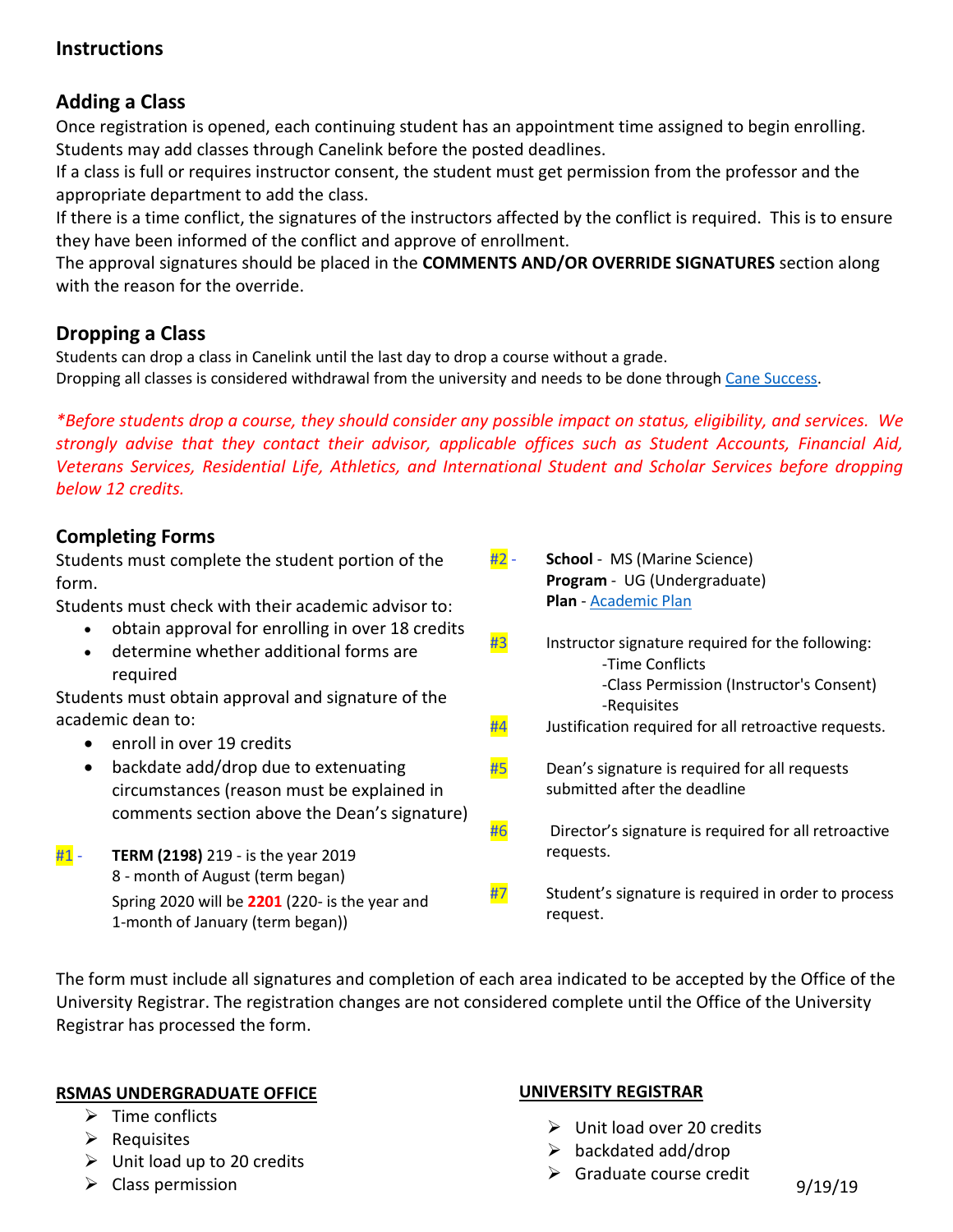# **Instructions**

# **Adding a Class**

Once registration is opened, each continuing student has an appointment time assigned to begin enrolling. Students may add classes through Canelink before the posted deadlines.

If a class is full or requires instructor consent, the student must get permission from the professor and the appropriate department to add the class.

If there is a time conflict, the signatures of the instructors affected by the conflict is required. This is to ensure they have been informed of the conflict and approve of enrollment.

The approval signatures should be placed in the **COMMENTS AND/OR OVERRIDE SIGNATURES** section along with the reason for the override.

# **Dropping a Class**

Students can drop a class in Canelink until the last day to drop a course without a grade. Dropping all classes is considered withdrawal from the university and needs to be done through [Cane Success.](https://success.miami.edu/student-withdrawal/index.html)

*\*Before students drop a course, they should consider any possible impact on status, eligibility, and services. We strongly advise that they contact their advisor, applicable offices such as Student Accounts, Financial Aid, Veterans Services, Residential Life, Athletics, and International Student and Scholar Services before dropping below 12 credits.*

### **Completing Forms**

Students must complete the student portion of the form.

Students must check with their academic advisor to:

- obtain approval for enrolling in over 18 credits
- determine whether additional forms are required

Students must obtain approval and signature of the academic dean to:

- enroll in over 19 credits
- backdate add/drop due to extenuating circumstances (reason must be explained in comments section above the Dean's signature)
- #1 **TERM (2198)** 219 is the year 2019 8 - month of August (term began) Spring 2020 will be **2201** (220- is the year and 1-month of January (term began))
- #2 **School** MS (Marine Science) **Program** - UG (Undergraduate) **Plan** - [Academic Plan](https://undergraduate.rsmas.miami.edu/_assets/pdf/all_academic_plans_2198.pdf)
- $\frac{43}{10}$  Instructor signature required for the following: -Time Conflicts -Class Permission (Instructor's Consent) -Requisites
- $#4$  Justification required for all retroactive requests.
- $#5$  Dean's signature is required for all requests submitted after the deadline
- $#6$  Director's signature is required for all retroactive requests.
- $\frac{H7}{H2}$  Student's signature is required in order to process request.

The form must include all signatures and completion of each area indicated to be accepted by the Office of the University Registrar. The registration changes are not considered complete until the Office of the University Registrar has processed the form.

### **RSMAS UNDERGRADUATE OFFICE**

- $\triangleright$  Time conflicts
- $\triangleright$  Requisites
- $\triangleright$  Unit load up to 20 credits
- $\triangleright$  Class permission

### **UNIVERSITY REGISTRAR**

- $\triangleright$  Unit load over 20 credits
- $\triangleright$  backdated add/drop
- $\triangleright$  Graduate course credit